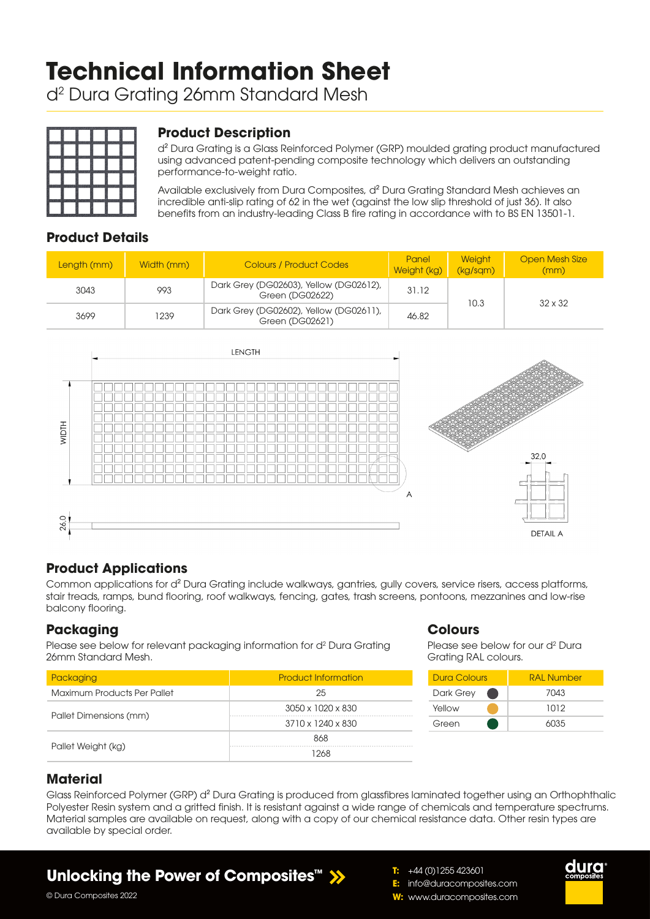# **Technical Information Sheet**

d2 Dura Grating 26mm Standard Mesh



## **Product Description**

d² Dura Grating is a Glass Reinforced Polymer (GRP) moulded grating product manufactured using advanced patent-pending composite technology which delivers an outstanding performance-to-weight ratio.

Available exclusively from Dura Composites, d² Dura Grating Standard Mesh achieves an incredible anti-slip rating of 62 in the wet (against the low slip threshold of just 36). It also benefits from an industry-leading Class B fire rating in accordance with to BS EN 13501-1.

## **Product Details**

| Length (mm) | Width (mm) | <b>Colours / Product Codes</b>                            | Panel<br>Weight (kg) | <b>Weight</b><br>(kg/sgm) | <b>Open Mesh Size</b><br>(mm) |  |
|-------------|------------|-----------------------------------------------------------|----------------------|---------------------------|-------------------------------|--|
| 3043        | 993        | Dark Grey (DG02603), Yellow (DG02612),<br>Green (DG02622) | 31.12                |                           | $32 \times 32$                |  |
| 3699        | 1239       | Dark Grey (DG02602), Yellow (DG02611),<br>Green (DG02621) | 10.3<br>46.82        |                           |                               |  |



## **Product Applications**

Common applications for d² Dura Grating include walkways, gantries, gully covers, service risers, access platforms, stair treads, ramps, bund flooring, roof walkways, fencing, gates, trash screens, pontoons, mezzanines and low-rise balcony flooring.

### **Packaging**

Please see below for relevant packaging information for d<sup>2</sup> Dura Grating 26mm Standard Mesh.

| Packaging                   | <b>Product Information</b>    |  |  |  |
|-----------------------------|-------------------------------|--|--|--|
| Maximum Products Per Pallet | 25                            |  |  |  |
|                             | 3050 x 1020 x 830             |  |  |  |
| Pallet Dimensions (mm)      | $3710 \times 1240 \times 830$ |  |  |  |
|                             | 868                           |  |  |  |
| Pallet Weight (kg)          | 1268                          |  |  |  |

### **Colours**

Please see below for our d<sup>2</sup> Dura Grating RAL colours.

| <b>Dura Colours</b> | <b>RAL Number</b> |  |  |  |
|---------------------|-------------------|--|--|--|
| Dark Grey           | 7043              |  |  |  |
| Yellow              | 1012              |  |  |  |
| Green               | 6035              |  |  |  |

## **Material**

Glass Reinforced Polymer (GRP) d<sup>2</sup> Dura Grating is produced from glassfibres laminated together using an Orthophthalic Polyester Resin system and a gritted finish. It is resistant against a wide range of chemicals and temperature spectrums. Material samples are available on request, along with a copy of our chemical resistance data. Other resin types are available by special order.

## **Unlocking the Power of Composites™**





© Dura Composites 2022